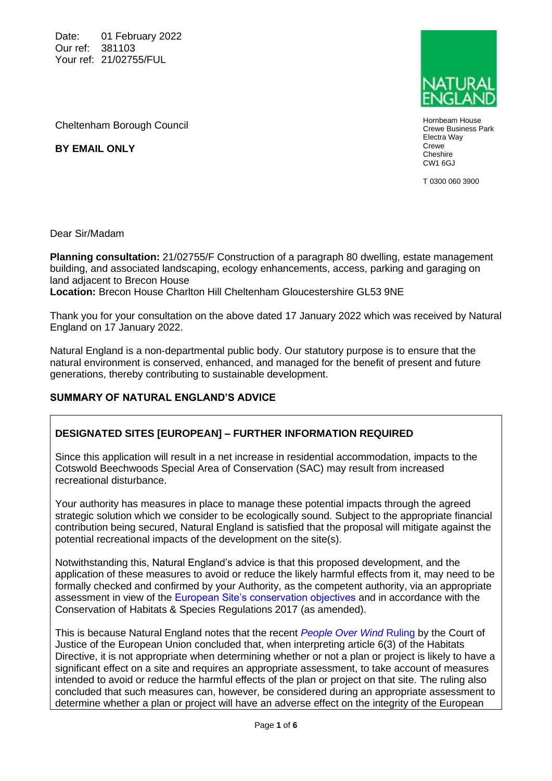Date: 01 February 2022 Our ref: 381103 Your ref: 21/02755/FUL



Hornbeam House Crewe Business Park Electra Way Crewe **Cheshire** CW1 6GJ

T 0300 060 3900

Cheltenham Borough Council

**BY EMAIL ONLY**

Dear Sir/Madam

**Planning consultation:** 21/02755/F Construction of a paragraph 80 dwelling, estate management building, and associated landscaping, ecology enhancements, access, parking and garaging on land adjacent to Brecon House **Location:** Brecon House Charlton Hill Cheltenham Gloucestershire GL53 9NE

Thank you for your consultation on the above dated 17 January 2022 which was received by Natural England on 17 January 2022.

Natural England is a non-departmental public body. Our statutory purpose is to ensure that the natural environment is conserved, enhanced, and managed for the benefit of present and future generations, thereby contributing to sustainable development.

# **SUMMARY OF NATURAL ENGLAND'S ADVICE**

# **DESIGNATED SITES [EUROPEAN] – FURTHER INFORMATION REQUIRED**

Since this application will result in a net increase in residential accommodation, impacts to the Cotswold Beechwoods Special Area of Conservation (SAC) may result from increased recreational disturbance.

Your authority has measures in place to manage these potential impacts through the agreed strategic solution which we consider to be ecologically sound. Subject to the appropriate financial contribution being secured, Natural England is satisfied that the proposal will mitigate against the potential recreational impacts of the development on the site(s).

Notwithstanding this, Natural England's advice is that this proposed development, and the application of these measures to avoid or reduce the likely harmful effects from it, may need to be formally checked and confirmed by your Authority, as the competent authority, via an appropriate assessment in view of the [European Site's conservation objectives](http://publications.naturalengland.org.uk/category/6490068894089216) and in accordance with the Conservation of Habitats & Species Regulations 2017 (as amended).

This is because Natural England notes that the recent *[People Over Wind](http://curia.europa.eu/juris/document/document.jsf?docid=200970&doclang=EN)* Ruling by the Court of Justice of the European Union concluded that, when interpreting article 6(3) of the Habitats Directive, it is not appropriate when determining whether or not a plan or project is likely to have a significant effect on a site and requires an appropriate assessment, to take account of measures intended to avoid or reduce the harmful effects of the plan or project on that site. The ruling also concluded that such measures can, however, be considered during an appropriate assessment to determine whether a plan or project will have an adverse effect on the integrity of the European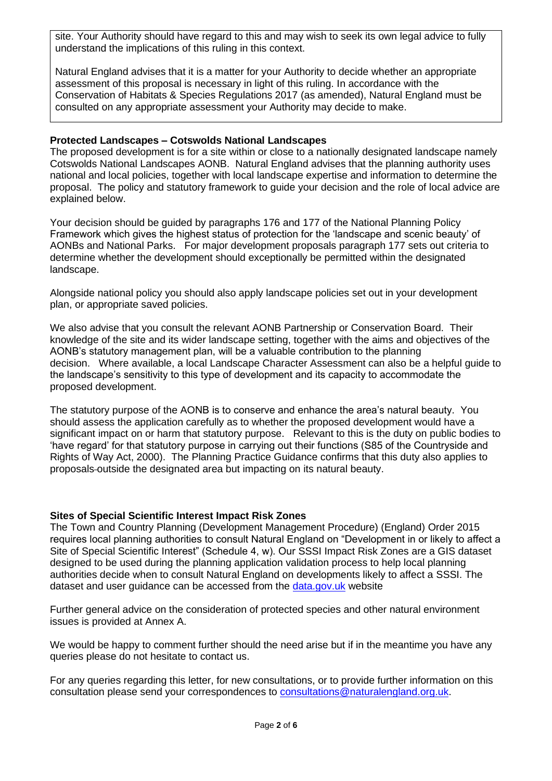site. Your Authority should have regard to this and may wish to seek its own legal advice to fully understand the implications of this ruling in this context.

Natural England advises that it is a matter for your Authority to decide whether an appropriate assessment of this proposal is necessary in light of this ruling. In accordance with the Conservation of Habitats & Species Regulations 2017 (as amended), Natural England must be consulted on any appropriate assessment your Authority may decide to make.

### **Protected Landscapes – Cotswolds National Landscapes**

The proposed development is for a site within or close to a nationally designated landscape namely Cotswolds National Landscapes AONB. Natural England advises that the planning authority uses national and local policies, together with local landscape expertise and information to determine the proposal. The policy and statutory framework to guide your decision and the role of local advice are explained below.

Your decision should be guided by paragraphs 176 and 177 of the National Planning Policy Framework which gives the highest status of protection for the 'landscape and scenic beauty' of AONBs and National Parks. For major development proposals paragraph 177 sets out criteria to determine whether the development should exceptionally be permitted within the designated landscape.

Alongside national policy you should also apply landscape policies set out in your development plan, or appropriate saved policies.

We also advise that you consult the relevant AONB Partnership or Conservation Board. Their knowledge of the site and its wider landscape setting, together with the aims and objectives of the AONB's statutory management plan, will be a valuable contribution to the planning decision. Where available, a local Landscape Character Assessment can also be a helpful guide to the landscape's sensitivity to this type of development and its capacity to accommodate the proposed development.

The statutory purpose of the AONB is to conserve and enhance the area's natural beauty. You should assess the application carefully as to whether the proposed development would have a significant impact on or harm that statutory purpose. Relevant to this is the duty on public bodies to 'have regard' for that statutory purpose in carrying out their functions (S85 of the Countryside and Rights of Way Act, 2000). The Planning Practice Guidance confirms that this duty also applies to proposals outside the designated area but impacting on its natural beauty.

### **Sites of Special Scientific Interest Impact Risk Zones**

The Town and Country Planning (Development Management Procedure) (England) Order 2015 requires local planning authorities to consult Natural England on "Development in or likely to affect a Site of Special Scientific Interest" (Schedule 4, w). Our SSSI Impact Risk Zones are a GIS dataset designed to be used during the planning application validation process to help local planning authorities decide when to consult Natural England on developments likely to affect a SSSI. The dataset and user guidance can be accessed from the [data.gov.uk](https://naturalengland-defra.opendata.arcgis.com/datasets/sssi-impact-risk-zones-england?geometry=-32.18%2C48.014%2C27.849%2C57.298) website

Further general advice on the consideration of protected species and other natural environment issues is provided at Annex A.

We would be happy to comment further should the need arise but if in the meantime you have any queries please do not hesitate to contact us.

For any queries regarding this letter, for new consultations, or to provide further information on this consultation please send your correspondences to [consultations@naturalengland.org.uk.](mailto:consultations@naturalengland.org.uk)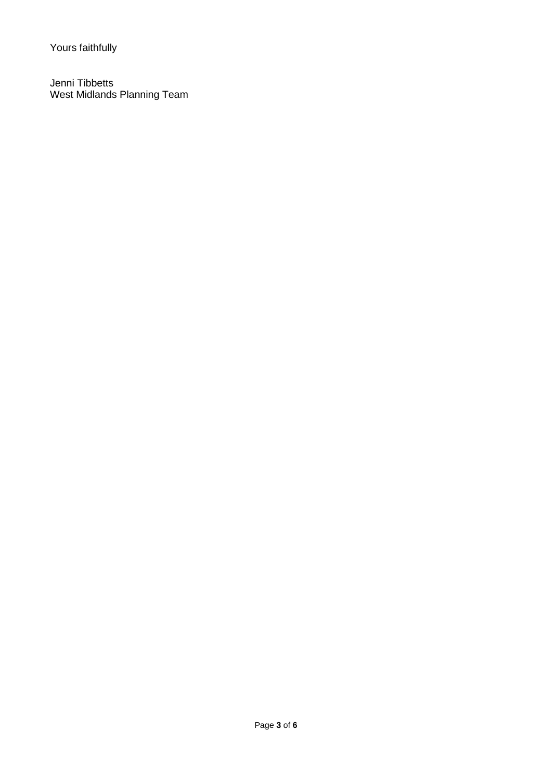Yours faithfully

Jenni Tibbetts West Midlands Planning Team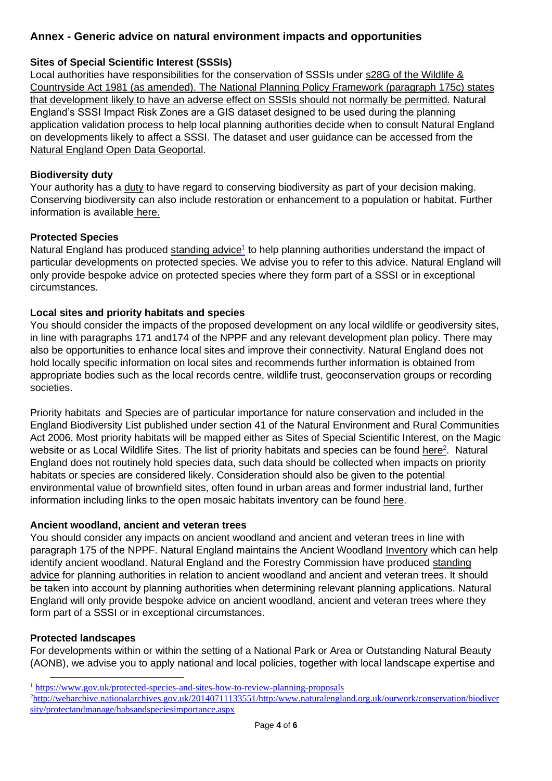# **Annex - Generic advice on natural environment impacts and opportunities**

# **Sites of Special Scientific Interest (SSSIs)**

Local authorities have responsibilities for the conservation of SSSIs under [s28G of the Wildlife &](http://www.legislation.gov.uk/ukpga/1981/69/section/28G)  [Countryside Act 1981 \(as amended\).](http://www.legislation.gov.uk/ukpga/1981/69/section/28G) The National Planning Policy Framework (paragraph 175c) states that development likely to have an adverse effect on SSSIs should not normally be permitted. Natural England's SSSI Impact Risk Zones are a GIS dataset designed to be used during the planning application validation process to help local planning authorities decide when to consult Natural England on developments likely to affect a SSSI. The dataset and user guidance can be accessed from the [Natural England Open Data Geoportal.](https://naturalengland-defra.opendata.arcgis.com/datasets/sssi-impact-risk-zones-england)

## **Biodiversity duty**

Your authority has a [duty](http://www.legislation.gov.uk/ukpga/2006/16/section/40) to have regard to conserving biodiversity as part of your decision making. Conserving biodiversity can also include restoration or enhancement to a population or habitat. Further information is available [here.](https://www.gov.uk/guidance/biodiversity-duty-public-authority-duty-to-have-regard-to-conserving-biodiversity)

## **Protected Species**

Natural England has produced [standing advice](https://www.gov.uk/guidance/protected-species-and-sites-how-to-review-planning-proposals)<sup>1</sup> to help planning authorities understand the impact of particular developments on protected species. We advise you to refer to this advice. Natural England will only provide bespoke advice on protected species where they form part of a SSSI or in exceptional circumstances.

## **Local sites and priority habitats and species**

You should consider the impacts of the proposed development on any local wildlife or geodiversity sites, in line with paragraphs 171 and174 of the NPPF and any relevant development plan policy. There may also be opportunities to enhance local sites and improve their connectivity. Natural England does not hold locally specific information on local sites and recommends further information is obtained from appropriate bodies such as the local records centre, wildlife trust, geoconservation groups or recording societies.

Priority habitats and Species are of particular importance for nature conservation and included in the England Biodiversity List published under section 41 of the Natural Environment and Rural Communities Act 2006. Most priority habitats will be mapped either as Sites of Special Scientific Interest, on the Magic website or as Local Wildlife Sites. The list of priority habitats and species can be found [here](http://jncc.defra.gov.uk/page-5705)<sup>2</sup>. Natural England does not routinely hold species data, such data should be collected when impacts on priority habitats or species are considered likely. Consideration should also be given to the potential environmental value of brownfield sites, often found in urban areas and former industrial land, further information including links to the open mosaic habitats inventory can be found [here.](https://www.buglife.org.uk/brownfield-hub)

### **Ancient woodland, ancient and veteran trees**

You should consider any impacts on ancient woodland and ancient and veteran trees in line with paragraph 175 of the NPPF. Natural England maintains the Ancient Woodland [Inventory](http://publications.naturalengland.org.uk/map?category=552039) which can help identify ancient woodland. Natural England and the Forestry Commission have produced [standing](https://www.gov.uk/guidance/ancient-woodland-and-veteran-trees-protection-surveys-licences)  [advice](https://www.gov.uk/guidance/ancient-woodland-and-veteran-trees-protection-surveys-licences) for planning authorities in relation to ancient woodland and ancient and veteran trees. It should be taken into account by planning authorities when determining relevant planning applications. Natural England will only provide bespoke advice on ancient woodland, ancient and veteran trees where they form part of a SSSI or in exceptional circumstances.

### **Protected landscapes**

For developments within or within the setting of a National Park or Area or Outstanding Natural Beauty (AONB), we advise you to apply national and local policies, together with local landscape expertise and

<sup>1</sup> <https://www.gov.uk/protected-species-and-sites-how-to-review-planning-proposals>

<sup>2</sup>[http://webarchive.nationalarchives.gov.uk/20140711133551/http:/www.naturalengland.org.uk/ourwork/conservation/biodiver](http://webarchive.nationalarchives.gov.uk/20140711133551/http:/www.naturalengland.org.uk/ourwork/conservation/biodiversity/protectandmanage/habsandspeciesimportance.aspx) [sity/protectandmanage/habsandspeciesimportance.aspx](http://webarchive.nationalarchives.gov.uk/20140711133551/http:/www.naturalengland.org.uk/ourwork/conservation/biodiversity/protectandmanage/habsandspeciesimportance.aspx)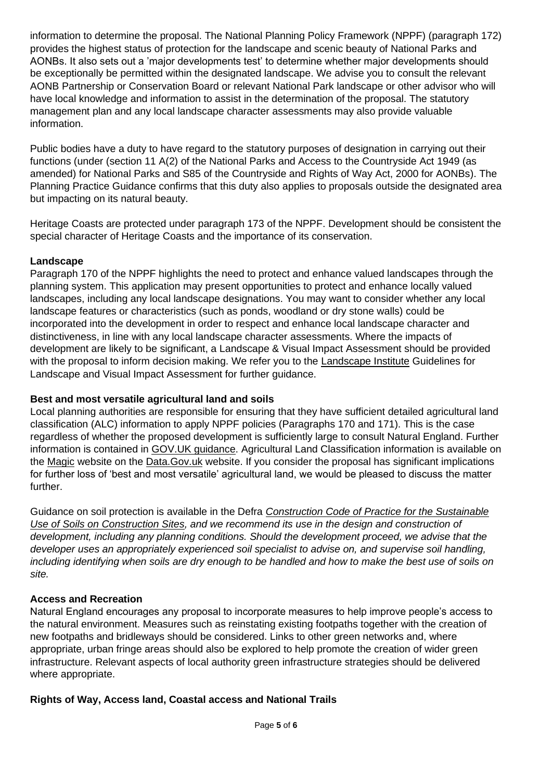information to determine the proposal. The National Planning Policy Framework (NPPF) (paragraph 172) provides the highest status of protection for the landscape and scenic beauty of National Parks and AONBs. It also sets out a 'major developments test' to determine whether major developments should be exceptionally be permitted within the designated landscape. We advise you to consult the relevant AONB Partnership or Conservation Board or relevant National Park landscape or other advisor who will have local knowledge and information to assist in the determination of the proposal. The statutory management plan and any local landscape character assessments may also provide valuable information.

Public bodies have a duty to have regard to the statutory purposes of designation in carrying out their functions (under (section 11 A(2) of the National Parks and Access to the Countryside Act 1949 (as amended) for National Parks and S85 of the Countryside and Rights of Way Act, 2000 for AONBs). The Planning Practice Guidance confirms that this duty also applies to proposals outside the designated area but impacting on its natural beauty.

Heritage Coasts are protected under paragraph 173 of the NPPF. Development should be consistent the special character of Heritage Coasts and the importance of its conservation.

# **Landscape**

Paragraph 170 of the NPPF highlights the need to protect and enhance valued landscapes through the planning system. This application may present opportunities to protect and enhance locally valued landscapes, including any local landscape designations. You may want to consider whether any local landscape features or characteristics (such as ponds, woodland or dry stone walls) could be incorporated into the development in order to respect and enhance local landscape character and distinctiveness, in line with any local landscape character assessments. Where the impacts of development are likely to be significant, a Landscape & Visual Impact Assessment should be provided with the proposal to inform decision making. We refer you to the [Landscape Institute](https://www.landscapeinstitute.org/technical/glvia3-panel/) Guidelines for Landscape and Visual Impact Assessment for further guidance.

# **Best and most versatile agricultural land and soils**

Local planning authorities are responsible for ensuring that they have sufficient detailed agricultural land classification (ALC) information to apply NPPF policies (Paragraphs 170 and 171). This is the case regardless of whether the proposed development is sufficiently large to consult Natural England. Further information is contained in [GOV.UK guidance.](https://www.gov.uk/government/publications/agricultural-land-assess-proposals-for-development/guide-to-assessing-development-proposals-on-agricultural-land) Agricultural Land Classification information is available on the [Magic](http://magic.defra.gov.uk/) website on the [Data.Gov.uk](https://data.gov.uk/data/search?q=Agricultural+Land+Classification) website. If you consider the proposal has significant implications for further loss of 'best and most versatile' agricultural land, we would be pleased to discuss the matter further.

Guidance on soil protection is available in the Defra *[Construction Code of Practice for the Sustainable](http://www.defra.gov.uk/publications/files/pb13298-code-of-practice-090910.pdf)  [Use of Soils on Construction Sites,](http://www.defra.gov.uk/publications/files/pb13298-code-of-practice-090910.pdf) and we recommend its use in the design and construction of development, including any planning conditions. Should the development proceed, we advise that the developer uses an appropriately experienced soil specialist to advise on, and supervise soil handling, including identifying when soils are dry enough to be handled and how to make the best use of soils on site.* 

# **Access and Recreation**

Natural England encourages any proposal to incorporate measures to help improve people's access to the natural environment. Measures such as reinstating existing footpaths together with the creation of new footpaths and bridleways should be considered. Links to other green networks and, where appropriate, urban fringe areas should also be explored to help promote the creation of wider green infrastructure. Relevant aspects of local authority green infrastructure strategies should be delivered where appropriate.

### **Rights of Way, Access land, Coastal access and National Trails**